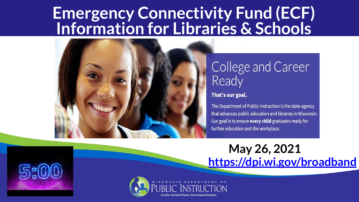#### **Emergency Connectivity Fund (ECF) Information for Libraries & Schools**



#### College and Career Ready

#### That's our goal.

The Department of Public Instruction is the state agency that advances public education and libraries in Wisconsin. Our goal is to ensure every child graduates ready for further education and the workplace.

**May 26, 2021 <https://dpi.wi.gov/broadband>**

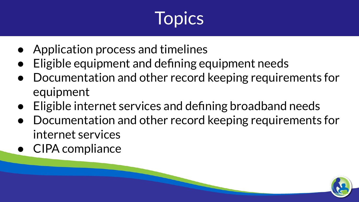# **Topics**

- Application process and timelines
- Eligible equipment and defining equipment needs
- Documentation and other record keeping requirements for equipment
- Eligible internet services and defining broadband needs
- Documentation and other record keeping requirements for internet services
- CIPA compliance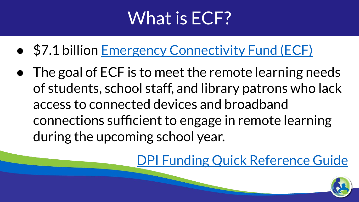### What is ECF?

- \$7.1 billion [Emergency Connectivity Fund \(ECF\)](https://docs.fcc.gov/public/attachments/FCC-21-58A1.pdf)
- The goal of ECF is to meet the remote learning needs of students, school staff, and library patrons who lack access to connected devices and broadband connections sufficient to engage in remote learning during the upcoming school year.

[DPI Funding Quick Reference Guide](https://dpi.wi.gov/broadband/funding-quick-reference-guide)

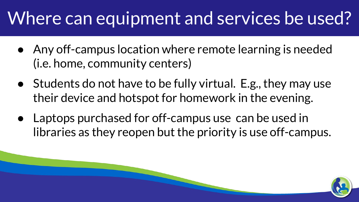### Where can equipment and services be used?

- Any off-campus location where remote learning is needed (i.e. home, community centers)
- Students do not have to be fully virtual. E.g., they may use their device and hotspot for homework in the evening.
- Laptops purchased for off-campus use can be used in libraries as they reopen but the priority is use off-campus.

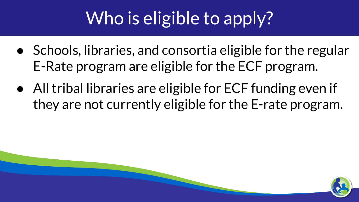## Who is eligible to apply?

- Schools, libraries, and consortia eligible for the regular E-Rate program are eligible for the ECF program.
- All tribal libraries are eligible for ECF funding even if they are not currently eligible for the E-rate program.

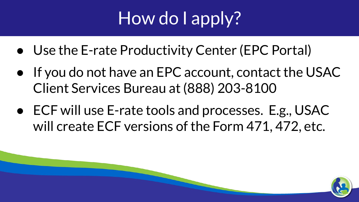## How do I apply?

- Use the E-rate Productivity Center (EPC Portal)
- If you do not have an EPC account, contact the USAC Client Services Bureau at (888) 203-8100
- ECF will use E-rate tools and processes. E.g., USAC will create ECF versions of the Form 471, 472, etc.

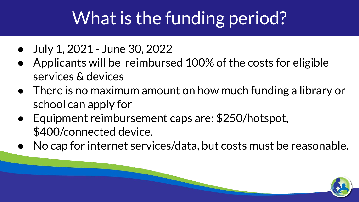## What is the funding period?

- July 1, 2021 June 30, 2022
- Applicants will be reimbursed 100% of the costs for eligible services & devices
- There is no maximum amount on how much funding a library or school can apply for
- Equipment reimbursement caps are: \$250/hotspot, \$400/connected device.
- No cap for internet services/data, but costs must be reasonable.

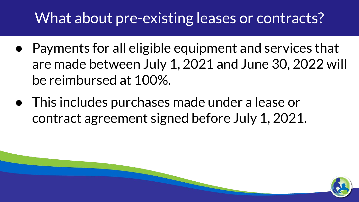#### What about pre-existing leases or contracts?

- Payments for all eligible equipment and services that are made between July 1, 2021 and June 30, 2022 will be reimbursed at 100%.
- This includes purchases made under a lease or contract agreement signed before July 1, 2021.

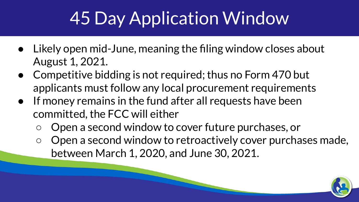## 45 Day Application Window

- Likely open mid-June, meaning the filing window closes about August 1, 2021.
- Competitive bidding is not required; thus no Form 470 but applicants must follow any local procurement requirements
- If money remains in the fund after all requests have been committed, the FCC will either
	- Open a second window to cover future purchases, or
	- Open a second window to retroactively cover purchases made, between March 1, 2020, and June 30, 2021.

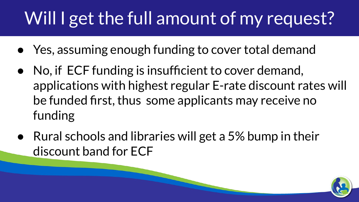### Will I get the full amount of my request?

- Yes, assuming enough funding to cover total demand
- No, if ECF funding is insufficient to cover demand, applications with highest regular E-rate discount rates will be funded first, thus some applicants may receive no funding
- Rural schools and libraries will get a 5% bump in their discount band for ECF

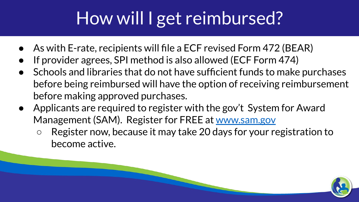## How will I get reimbursed?

- As with E-rate, recipients will file a ECF revised Form 472 (BEAR)
- If provider agrees, SPI method is also allowed (ECF Form 474)
- Schools and libraries that do not have sufficient funds to make purchases before being reimbursed will have the option of receiving reimbursement before making approved purchases.
- Applicants are required to register with the gov't System for Award Management (SAM). Register for FREE at [www.sam.gov](http://www.sam.gov)
	- Register now, because it may take 20 days for your registration to become active.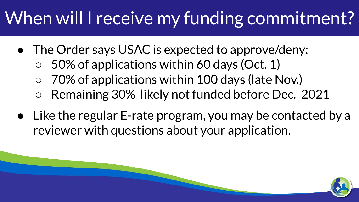## When will I receive my funding commitment?

- The Order says USAC is expected to approve/deny:
	- $\circ$  50% of applications within 60 days (Oct. 1)
	- 70% of applications within 100 days (late Nov.)
	- Remaining 30% likely not funded before Dec. 2021
- Like the regular E-rate program, you may be contacted by a reviewer with questions about your application.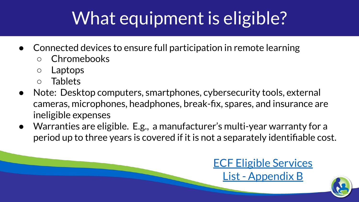# What equipment is eligible?

- Connected devices to ensure full participation in remote learning
	- Chromebooks
	- Laptops
	- Tablets
- Note: Desktop computers, smartphones, cybersecurity tools, external cameras, microphones, headphones, break-fix, spares, and insurance are ineligible expenses
- Warranties are eligible. E.g., a manufacturer's multi-year warranty for a period up to three years is covered if it is not a separately identifiable cost.

#### [ECF Eligible Services](https://drive.google.com/file/d/14wgQKD9vS1epws7pb1MmGvNanGQHtqUv/view?usp=sharing) [List - Appendix B](https://drive.google.com/file/d/14wgQKD9vS1epws7pb1MmGvNanGQHtqUv/view?usp=sharing)

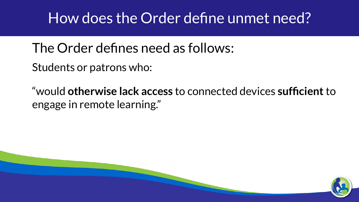#### How does the Order define unmet need?

The Order defines need as follows:

Students or patrons who:

"would **otherwise lack access** to connected devices **sufficient** to engage in remote learning."

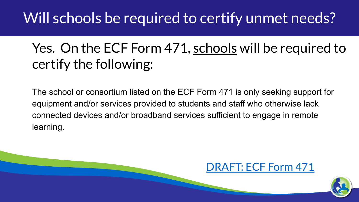#### Will schools be required to certify unmet needs?

#### Yes. On the ECF Form 471, schools will be required to certify the following:

The school or consortium listed on the ECF Form 471 is only seeking support for equipment and/or services provided to students and staff who otherwise lack connected devices and/or broadband services sufficient to engage in remote learning.



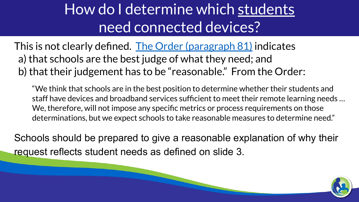#### How do I determine which students need connected devices?

This is not clearly defined. [The Order \(paragraph 81\)](https://docs.fcc.gov/public/attachments/FCC-21-58A1.pdf) indicates a) that schools are the best judge of what they need; and b) that their judgement has to be "reasonable." From the Order:

"We think that schools are in the best position to determine whether their students and staff have devices and broadband services sufficient to meet their remote learning needs … We, therefore, will not impose any specific metrics or process requirements on those determinations, but we expect schools to take reasonable measures to determine need."

Schools should be prepared to give a reasonable explanation of why their request reflects student needs as defined on slide 3.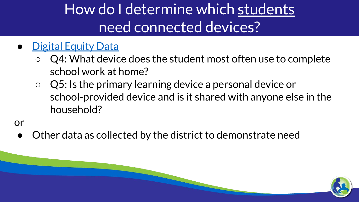### How do I determine which students need connected devices?

#### **[Digital Equity Data](https://dpi.wi.gov/broadband/internet-access-home-survey)**

- $\circ$  Q4: What device does the student most often use to complete school work at home?
- Q5: Is the primary learning device a personal device or school-provided device and is it shared with anyone else in the household?

or

Other data as collected by the district to demonstrate need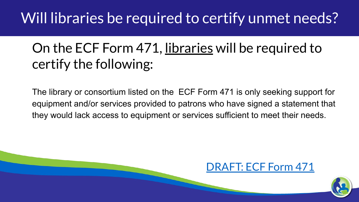#### Will libraries be required to certify unmet needs?

#### On the ECF Form 471, libraries will be required to certify the following:

The library or consortium listed on the ECF Form 471 is only seeking support for equipment and/or services provided to patrons who have signed a statement that they would lack access to equipment or services sufficient to meet their needs.



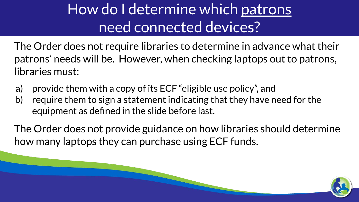### How do I determine which patrons need connected devices?

The Order does not require libraries to determine in advance what their patrons' needs will be. However, when checking laptops out to patrons, libraries must:

- a) provide them with a copy of its ECF "eligible use policy", and
- b) require them to sign a statement indicating that they have need for the equipment as defined in the slide before last.

The Order does not provide guidance on how libraries should determine how many laptops they can purchase using ECF funds.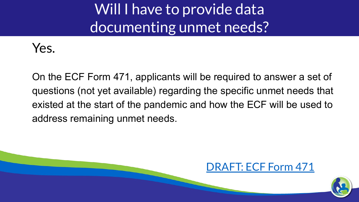Will I have to provide data documenting unmet needs?



On the ECF Form 471, applicants will be required to answer a set of questions (not yet available) regarding the specific unmet needs that existed at the start of the pandemic and how the ECF will be used to address remaining unmet needs.



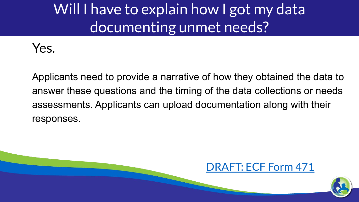### Will I have to explain how I got my data documenting unmet needs?



Applicants need to provide a narrative of how they obtained the data to answer these questions and the timing of the data collections or needs assessments. Applicants can upload documentation along with their responses.



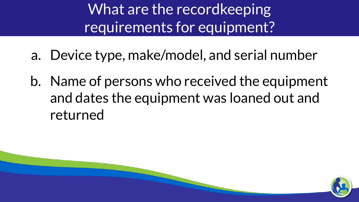What are the recordkeeping requirements for equipment?

- a. Device type, make/model, and serial number
- b. Name of persons who received the equipment and dates the equipment was loaned out and returned

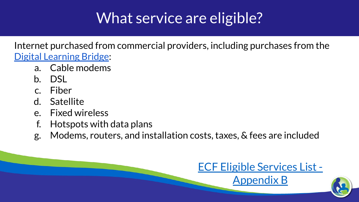### What service are eligible?

Internet purchased from commercial providers, including purchases from the [Digital Learning Bridge](https://cesapurchasing.org/digital):

- a. Cable modems
- b. DSL
- c. Fiber
- d. Satellite
- e. Fixed wireless
- f. Hotspots with data plans
- g. Modems, routers, and installation costs, taxes, & fees are included

#### [ECF Eligible Services List -](https://drive.google.com/file/d/14wgQKD9vS1epws7pb1MmGvNanGQHtqUv/view?usp=sharing)

[Appendix B](https://drive.google.com/file/d/14wgQKD9vS1epws7pb1MmGvNanGQHtqUv/view?usp=sharing)

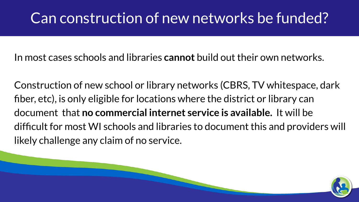#### Can construction of new networks be funded?

In most cases schools and libraries **cannot** build out their own networks.

Construction of new school or library networks (CBRS, TV whitespace, dark fiber, etc), is only eligible for locations where the district or library can document that **no commercial internet service is available.** It will be difficult for most WI schools and libraries to document this and providers will likely challenge any claim of no service.

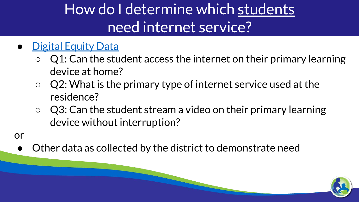### How do I determine which students need internet service?

- **[Digital Equity Data](https://dpi.wi.gov/broadband/internet-access-home-survey)** 
	- $\circ$  Q1: Can the student access the internet on their primary learning device at home?
	- $\circ$  Q2: What is the primary type of internet service used at the residence?
	- $\circ$  Q3: Can the student stream a video on their primary learning device without interruption?
- or
	- Other data as collected by the district to demonstrate need

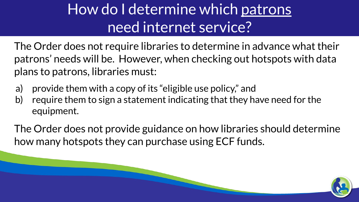### How do I determine which patrons need internet service?

The Order does not require libraries to determine in advance what their patrons' needs will be. However, when checking out hotspots with data plans to patrons, libraries must:

- a) provide them with a copy of its "eligible use policy," and
- b) require them to sign a statement indicating that they have need for the equipment.

The Order does not provide guidance on how libraries should determine how many hotspots they can purchase using ECF funds.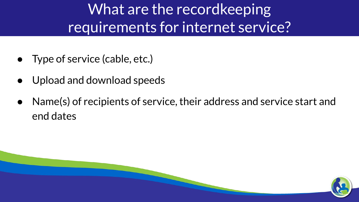What are the recordkeeping requirements for internet service?

- Type of service (cable, etc.)
- Upload and download speeds
- Name(s) of recipients of service, their address and service start and end dates

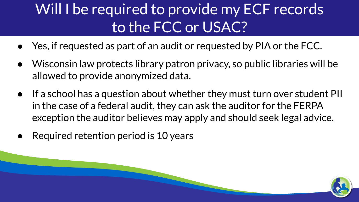### Will I be required to provide my ECF records to the FCC or USAC?

- Yes, if requested as part of an audit or requested by PIA or the FCC.
- Wisconsin law protects library patron privacy, so public libraries will be allowed to provide anonymized data.
- If a school has a question about whether they must turn over student PII in the case of a federal audit, they can ask the auditor for the FERPA exception the auditor believes may apply and should seek legal advice.
- Required retention period is 10 years

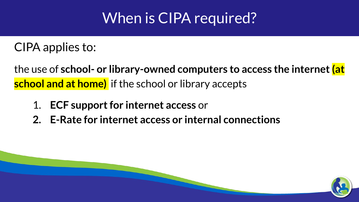#### When is CIPA required?

CIPA applies to:

the use of **school- or library-owned computers to access the internet (at school and at home)** if the school or library accepts

- 1. **ECF support for internet access** or
- **2. E-Rate for internet access or internal connections**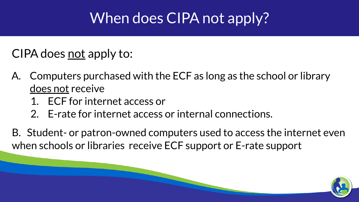#### When does CIPA not apply?

CIPA does <u>not</u> apply to:

- A. Computers purchased with the ECF as long as the school or library does not receive
	- 1. ECF for internet access or
	- 2. E-rate for internet access or internal connections.
- B. Student- or patron-owned computers used to access the internet even when schools or libraries receive ECF support or E-rate support